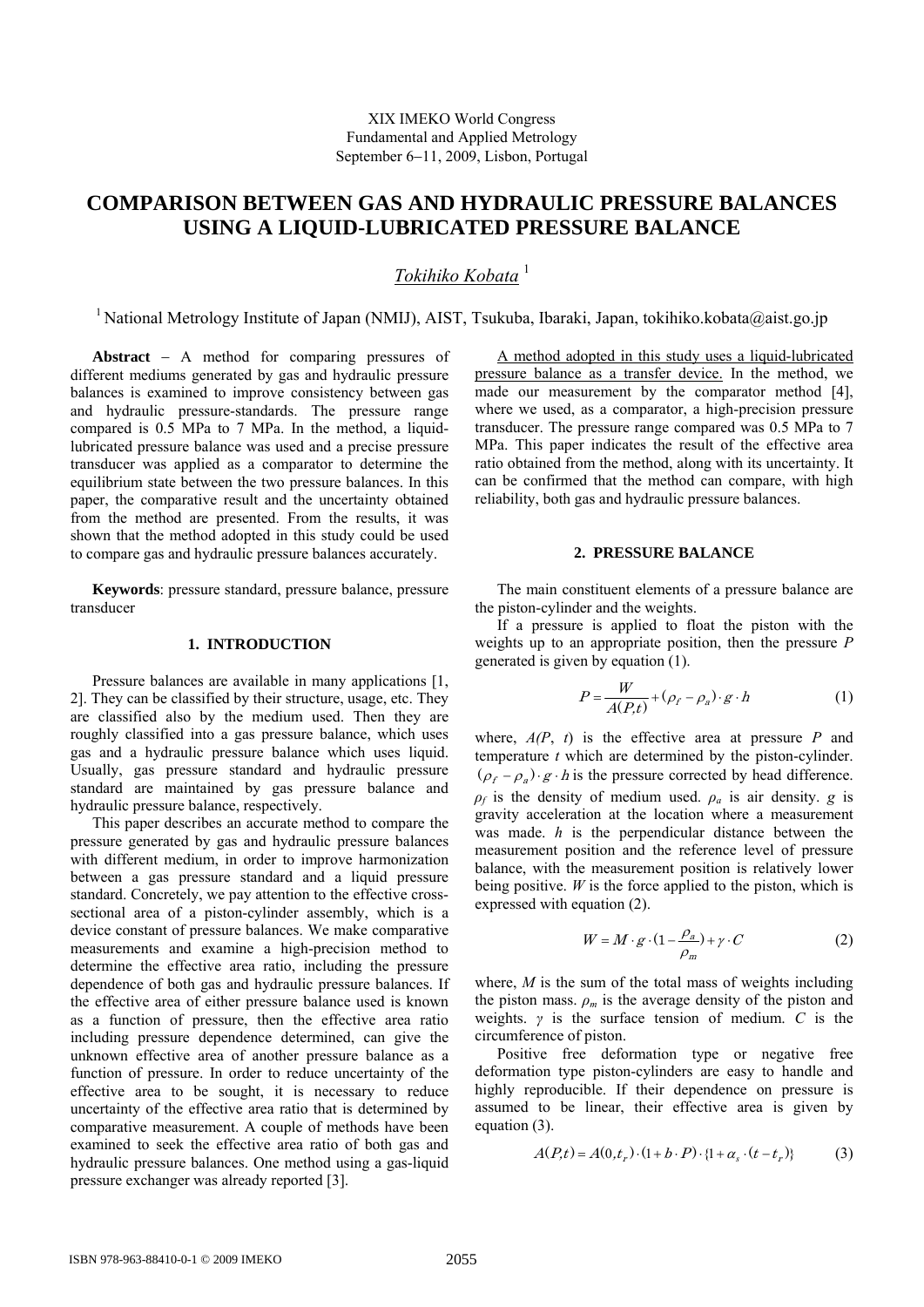# **COMPARISON BETWEEN GAS AND HYDRAULIC PRESSURE BALANCES USING A LIQUID-LUBRICATED PRESSURE BALANCE**

## *Tokihiko Kobata* <sup>1</sup>

<sup>1</sup> National Metrology Institute of Japan (NMIJ), AIST, Tsukuba, Ibaraki, Japan, tokihiko.kobata@aist.go.jp

**Abstract** − A method for comparing pressures of different mediums generated by gas and hydraulic pressure balances is examined to improve consistency between gas and hydraulic pressure-standards. The pressure range compared is 0.5 MPa to 7 MPa. In the method, a liquidlubricated pressure balance was used and a precise pressure transducer was applied as a comparator to determine the equilibrium state between the two pressure balances. In this paper, the comparative result and the uncertainty obtained from the method are presented. From the results, it was shown that the method adopted in this study could be used to compare gas and hydraulic pressure balances accurately.

**Keywords**: pressure standard, pressure balance, pressure transducer

## **1. INTRODUCTION**

Pressure balances are available in many applications [1, 2]. They can be classified by their structure, usage, etc. They are classified also by the medium used. Then they are roughly classified into a gas pressure balance, which uses gas and a hydraulic pressure balance which uses liquid. Usually, gas pressure standard and hydraulic pressure standard are maintained by gas pressure balance and hydraulic pressure balance, respectively.

This paper describes an accurate method to compare the pressure generated by gas and hydraulic pressure balances with different medium, in order to improve harmonization between a gas pressure standard and a liquid pressure standard. Concretely, we pay attention to the effective crosssectional area of a piston-cylinder assembly, which is a device constant of pressure balances. We make comparative measurements and examine a high-precision method to determine the effective area ratio, including the pressure dependence of both gas and hydraulic pressure balances. If the effective area of either pressure balance used is known as a function of pressure, then the effective area ratio including pressure dependence determined, can give the unknown effective area of another pressure balance as a function of pressure. In order to reduce uncertainty of the effective area to be sought, it is necessary to reduce uncertainty of the effective area ratio that is determined by comparative measurement. A couple of methods have been examined to seek the effective area ratio of both gas and hydraulic pressure balances. One method using a gas-liquid pressure exchanger was already reported [3].

A method adopted in this study uses a liquid-lubricated pressure balance as a transfer device. In the method, we made our measurement by the comparator method [4], where we used, as a comparator, a high-precision pressure transducer. The pressure range compared was 0.5 MPa to 7 MPa. This paper indicates the result of the effective area ratio obtained from the method, along with its uncertainty. It can be confirmed that the method can compare, with high reliability, both gas and hydraulic pressure balances.

## **2. PRESSURE BALANCE**

The main constituent elements of a pressure balance are the piston-cylinder and the weights.

If a pressure is applied to float the piston with the weights up to an appropriate position, then the pressure *P* generated is given by equation (1).

$$
P = \frac{W}{A(P,t)} + (\rho_f - \rho_a) \cdot g \cdot h \tag{1}
$$

where,  $A(P, t)$  is the effective area at pressure  $P$  and temperature *t* which are determined by the piston-cylinder.  $(\rho_f - \rho_a) \cdot g \cdot h$  is the pressure corrected by head difference.  $\rho_f$  is the density of medium used.  $\rho_a$  is air density. *g* is gravity acceleration at the location where a measurement was made. *h* is the perpendicular distance between the measurement position and the reference level of pressure balance, with the measurement position is relatively lower being positive.  $W$  is the force applied to the piston, which is expressed with equation (2).

$$
W = M \cdot g \cdot (1 - \frac{\rho_a}{\rho_m}) + \gamma \cdot C \tag{2}
$$

where, *M* is the sum of the total mass of weights including the piston mass.  $\rho_m$  is the average density of the piston and weights. *γ* is the surface tension of medium. *C* is the circumference of piston.

Positive free deformation type or negative free deformation type piston-cylinders are easy to handle and highly reproducible. If their dependence on pressure is assumed to be linear, their effective area is given by equation (3).

$$
A(P,t) = A(0,t_r) \cdot (1 + b \cdot P) \cdot \{1 + \alpha_s \cdot (t - t_r)\}
$$
 (3)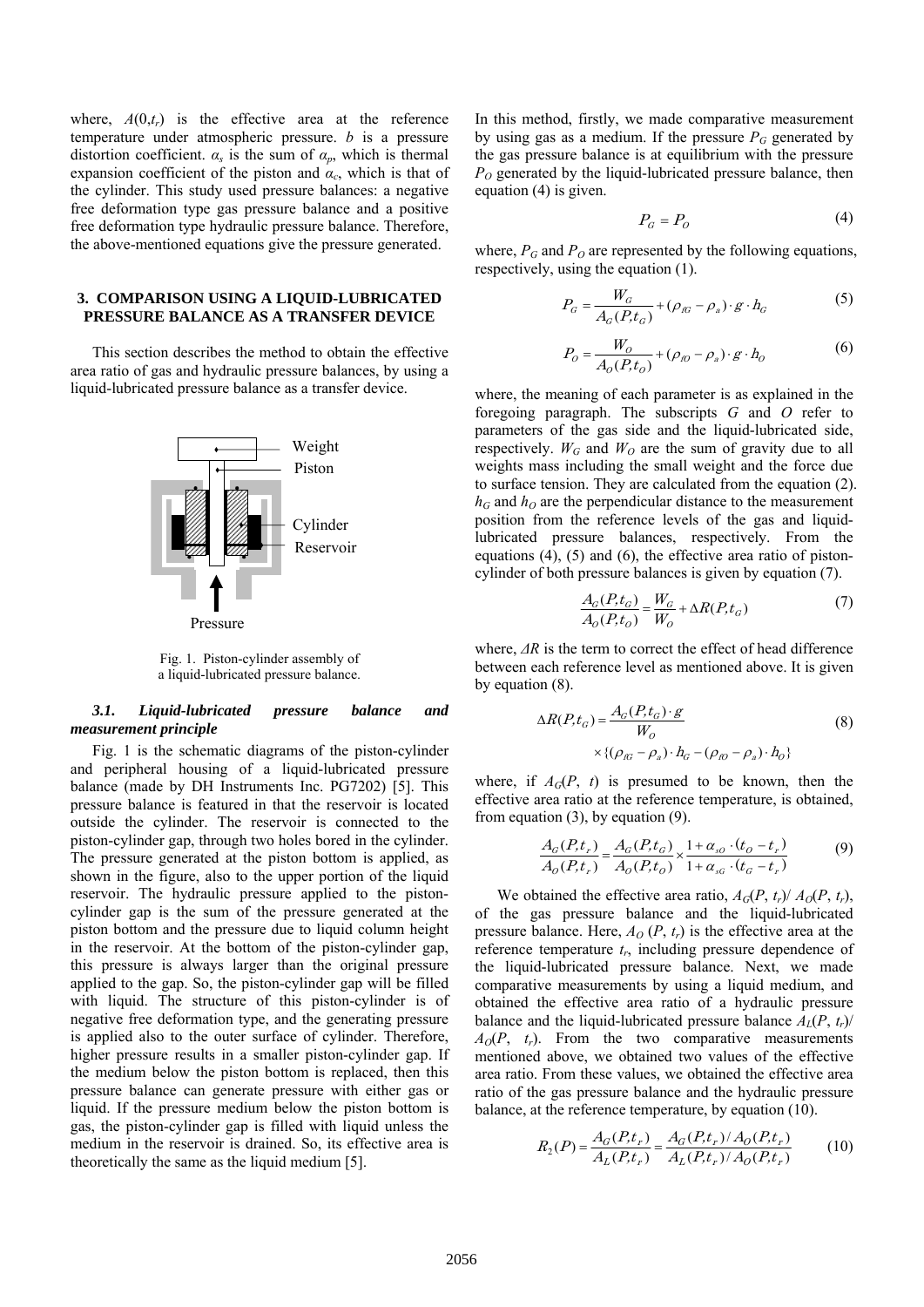where,  $A(0,t_r)$  is the effective area at the reference temperature under atmospheric pressure. *b* is a pressure distortion coefficient.  $\alpha_s$  is the sum of  $\alpha_p$ , which is thermal expansion coefficient of the piston and  $\alpha_c$ , which is that of the cylinder. This study used pressure balances: a negative free deformation type gas pressure balance and a positive free deformation type hydraulic pressure balance. Therefore, the above-mentioned equations give the pressure generated.

### **3. COMPARISON USING A LIQUID-LUBRICATED PRESSURE BALANCE AS A TRANSFER DEVICE**

This section describes the method to obtain the effective area ratio of gas and hydraulic pressure balances, by using a liquid-lubricated pressure balance as a transfer device.



Fig. 1. Piston-cylinder assembly of a liquid-lubricated pressure balance.

## *3.1. Liquid-lubricated pressure balance and measurement principle*

Fig. 1 is the schematic diagrams of the piston-cylinder and peripheral housing of a liquid-lubricated pressure balance (made by DH Instruments Inc. PG7202) [5]. This pressure balance is featured in that the reservoir is located outside the cylinder. The reservoir is connected to the piston-cylinder gap, through two holes bored in the cylinder. The pressure generated at the piston bottom is applied, as shown in the figure, also to the upper portion of the liquid reservoir. The hydraulic pressure applied to the pistoncylinder gap is the sum of the pressure generated at the piston bottom and the pressure due to liquid column height in the reservoir. At the bottom of the piston-cylinder gap, this pressure is always larger than the original pressure applied to the gap. So, the piston-cylinder gap will be filled with liquid. The structure of this piston-cylinder is of negative free deformation type, and the generating pressure is applied also to the outer surface of cylinder. Therefore, higher pressure results in a smaller piston-cylinder gap. If the medium below the piston bottom is replaced, then this pressure balance can generate pressure with either gas or liquid. If the pressure medium below the piston bottom is gas, the piston-cylinder gap is filled with liquid unless the medium in the reservoir is drained. So, its effective area is theoretically the same as the liquid medium [5].

In this method, firstly, we made comparative measurement by using gas as a medium. If the pressure  $P_G$  generated by the gas pressure balance is at equilibrium with the pressure *P*<sub>O</sub> generated by the liquid-lubricated pressure balance, then equation (4) is given.

$$
P_G = P_O \tag{4}
$$

where,  $P_G$  and  $P_O$  are represented by the following equations, respectively, using the equation (1).

$$
P_G = \frac{W_G}{A_G(P, t_G)} + (\rho_{IG} - \rho_a) \cdot g \cdot h_G \tag{5}
$$

$$
P_o = \frac{W_o}{A_o(P, t_o)} + (\rho_{no} - \rho_a) \cdot g \cdot h_o \tag{6}
$$

where, the meaning of each parameter is as explained in the foregoing paragraph. The subscripts *G* and *O* refer to parameters of the gas side and the liquid-lubricated side, respectively.  $W_G$  and  $W_O$  are the sum of gravity due to all weights mass including the small weight and the force due to surface tension. They are calculated from the equation (2).  $h_G$  and  $h_O$  are the perpendicular distance to the measurement position from the reference levels of the gas and liquidlubricated pressure balances, respectively. From the equations (4), (5) and (6), the effective area ratio of pistoncylinder of both pressure balances is given by equation (7).

$$
\frac{A_G(P, t_G)}{A_O(P, t_O)} = \frac{W_G}{W_O} + \Delta R(P, t_G)
$$
\n(7)

where, *ΔR* is the term to correct the effect of head difference between each reference level as mentioned above. It is given by equation (8).

$$
\Delta R(P, t_G) = \frac{A_G(P, t_G) \cdot g}{W_O}
$$
  
 
$$
\times \{ (\rho_{gG} - \rho_a) \cdot h_G - (\rho_{gO} - \rho_a) \cdot h_O \}
$$
 (8)

where, if  $A_G(P, t)$  is presumed to be known, then the effective area ratio at the reference temperature, is obtained, from equation (3), by equation (9).

$$
\frac{A_G(P,t_r)}{A_O(P,t_r)} = \frac{A_G(P,t_G)}{A_O(P,t_O)} \times \frac{1 + \alpha_{SO} \cdot (t_O - t_r)}{1 + \alpha_{SG} \cdot (t_G - t_r)}
$$
(9)

We obtained the effective area ratio,  $A_G(P, t_r)/A_O(P, t_r)$ , of the gas pressure balance and the liquid-lubricated pressure balance. Here,  $A_O(P, t_r)$  is the effective area at the reference temperature  $t_r$ , including pressure dependence of the liquid-lubricated pressure balance. Next, we made comparative measurements by using a liquid medium, and obtained the effective area ratio of a hydraulic pressure balance and the liquid-lubricated pressure balance  $A_L(P, t_r)$ /  $A_O(P, t_r)$ . From the two comparative measurements mentioned above, we obtained two values of the effective area ratio. From these values, we obtained the effective area ratio of the gas pressure balance and the hydraulic pressure balance, at the reference temperature, by equation (10).

$$
R_2(P) = \frac{A_G(P, t_r)}{A_L(P, t_r)} = \frac{A_G(P, t_r)/A_O(P, t_r)}{A_L(P, t_r)/A_O(P, t_r)}
$$
(10)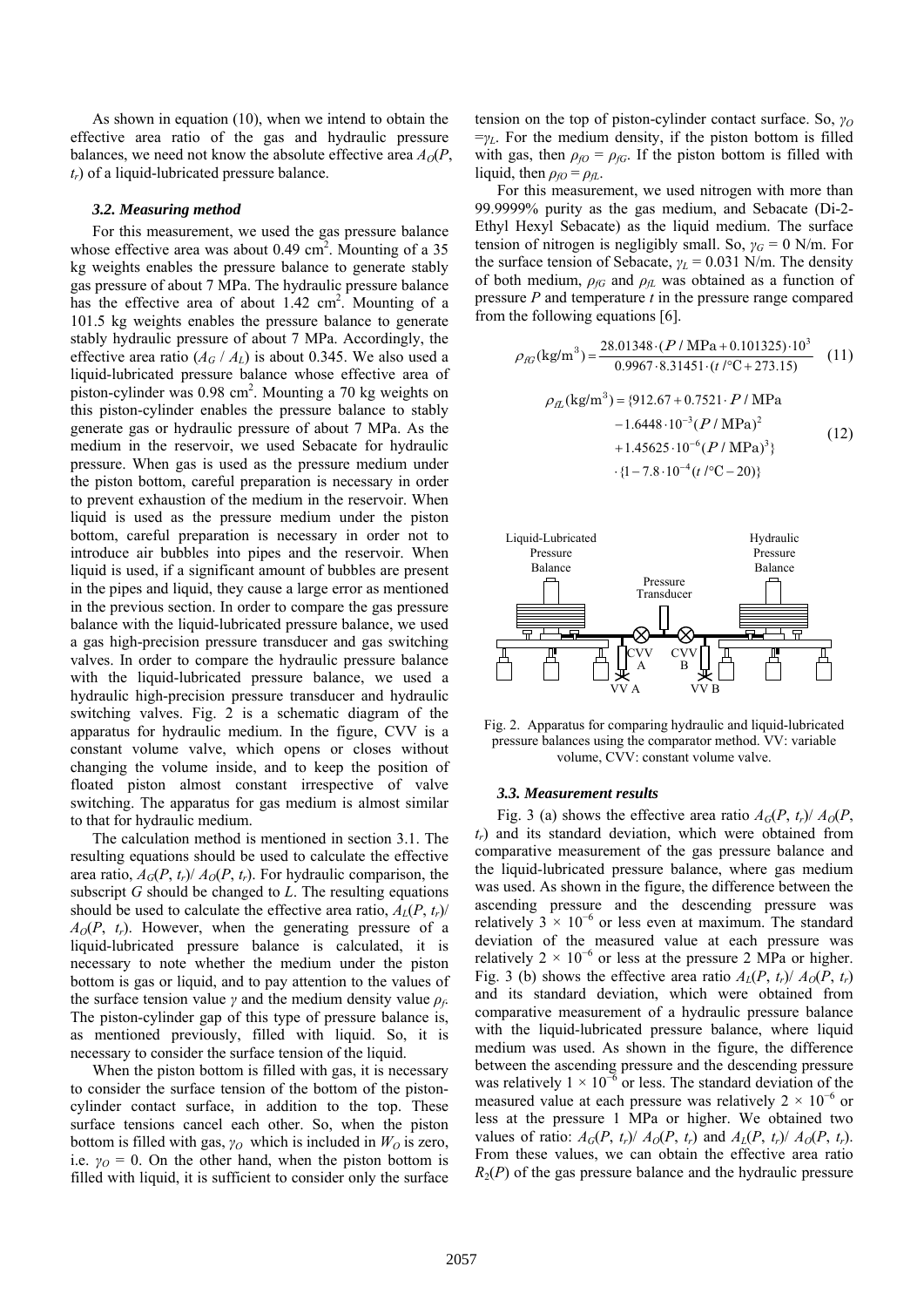As shown in equation (10), when we intend to obtain the effective area ratio of the gas and hydraulic pressure balances, we need not know the absolute effective area  $A_0(P, \mathcal{C})$ *tr*) of a liquid-lubricated pressure balance.

#### *3.2. Measuring method*

For this measurement, we used the gas pressure balance whose effective area was about  $0.49 \text{ cm}^2$ . Mounting of a 35 kg weights enables the pressure balance to generate stably gas pressure of about 7 MPa. The hydraulic pressure balance has the effective area of about  $1.42 \text{ cm}^2$ . Mounting of a 101.5 kg weights enables the pressure balance to generate stably hydraulic pressure of about 7 MPa. Accordingly, the effective area ratio  $(A_G / A_L)$  is about 0.345. We also used a liquid-lubricated pressure balance whose effective area of piston-cylinder was 0.98 cm<sup>2</sup>. Mounting a 70 kg weights on this piston-cylinder enables the pressure balance to stably generate gas or hydraulic pressure of about 7 MPa. As the medium in the reservoir, we used Sebacate for hydraulic pressure. When gas is used as the pressure medium under the piston bottom, careful preparation is necessary in order to prevent exhaustion of the medium in the reservoir. When liquid is used as the pressure medium under the piston bottom, careful preparation is necessary in order not to introduce air bubbles into pipes and the reservoir. When liquid is used, if a significant amount of bubbles are present in the pipes and liquid, they cause a large error as mentioned in the previous section. In order to compare the gas pressure balance with the liquid-lubricated pressure balance, we used a gas high-precision pressure transducer and gas switching valves. In order to compare the hydraulic pressure balance with the liquid-lubricated pressure balance, we used a hydraulic high-precision pressure transducer and hydraulic switching valves. Fig. 2 is a schematic diagram of the apparatus for hydraulic medium. In the figure, CVV is a constant volume valve, which opens or closes without changing the volume inside, and to keep the position of floated piston almost constant irrespective of valve switching. The apparatus for gas medium is almost similar to that for hydraulic medium.

The calculation method is mentioned in section 3.1. The resulting equations should be used to calculate the effective area ratio,  $A_G(P, t_r)/A_O(P, t_r)$ . For hydraulic comparison, the subscript *G* should be changed to *L*. The resulting equations should be used to calculate the effective area ratio,  $A_I(P, t_r)$  $A_0(P, t_r)$ . However, when the generating pressure of a liquid-lubricated pressure balance is calculated, it is necessary to note whether the medium under the piston bottom is gas or liquid, and to pay attention to the values of the surface tension value *γ* and the medium density value *ρf*. The piston-cylinder gap of this type of pressure balance is, as mentioned previously, filled with liquid. So, it is necessary to consider the surface tension of the liquid.

When the piston bottom is filled with gas, it is necessary to consider the surface tension of the bottom of the pistoncylinder contact surface, in addition to the top. These surface tensions cancel each other. So, when the piston bottom is filled with gas,  $\gamma_O$  which is included in  $W_O$  is zero, i.e.  $\gamma_O = 0$ . On the other hand, when the piston bottom is filled with liquid, it is sufficient to consider only the surface tension on the top of piston-cylinder contact surface. So, *γ<sup>O</sup>*  $=\gamma_L$ . For the medium density, if the piston bottom is filled with gas, then  $\rho_{f0} = \rho_{fG}$ . If the piston bottom is filled with liquid, then  $\rho_{f0} = \rho_{fL}$ .

For this measurement, we used nitrogen with more than 99.9999% purity as the gas medium, and Sebacate (Di-2- Ethyl Hexyl Sebacate) as the liquid medium. The surface tension of nitrogen is negligibly small. So,  $\gamma_G = 0$  N/m. For the surface tension of Sebacate, *γL* = 0.031 N/m. The density of both medium,  $\rho_{fG}$  and  $\rho_{fL}$  was obtained as a function of pressure *P* and temperature *t* in the pressure range compared from the following equations [6].

$$
\rho_{fG}(\text{kg/m}^3) = \frac{28.01348 \cdot (P / \text{MPa} + 0.101325) \cdot 10^3}{0.9967 \cdot 8.31451 \cdot (t \cdot \text{°C} + 273.15)} \quad (11)
$$

$$
\rho_{fL}(\text{kg/m}^3) = \{912.67 + 0.7521 \cdot P / \text{MPa} \quad -1.6448 \cdot 10^{-3} (P / \text{MPa})^2 \quad (12)
$$

 $\cdot$  {1 - 7.8  $\cdot$  10<sup>-4</sup> (t /<sup>o</sup>C - 20)}  $+1.45625 \cdot 10^{-6} (P / MPa)^3$ 

VV A VV B CVV A CVV B Pressure Transducer Hydraulic Pressure Balance Liquid-Lubricated Pressure Balance

Fig. 2. Apparatus for comparing hydraulic and liquid-lubricated pressure balances using the comparator method. VV: variable volume, CVV: constant volume valve.

#### *3.3. Measurement results*

Fig. 3 (a) shows the effective area ratio  $A_G(P, t_r)/A_O(P, t_r)$ *tr*) and its standard deviation, which were obtained from comparative measurement of the gas pressure balance and the liquid-lubricated pressure balance, where gas medium was used. As shown in the figure, the difference between the ascending pressure and the descending pressure was relatively  $3 \times 10^{-6}$  or less even at maximum. The standard deviation of the measured value at each pressure was relatively  $2 \times 10^{-6}$  or less at the pressure 2 MPa or higher. Fig. 3 (b) shows the effective area ratio  $A_l(P, t_r)/A_O(P, t_r)$ and its standard deviation, which were obtained from comparative measurement of a hydraulic pressure balance with the liquid-lubricated pressure balance, where liquid medium was used. As shown in the figure, the difference between the ascending pressure and the descending pressure was relatively  $1 \times 10^{-6}$  or less. The standard deviation of the measured value at each pressure was relatively  $2 \times 10^{-6}$  or less at the pressure 1 MPa or higher. We obtained two values of ratio:  $A_G(P, t_r)/A_O(P, t_r)$  and  $A_I(P, t_r)/A_O(P, t_r)$ . From these values, we can obtain the effective area ratio  $R_2(P)$  of the gas pressure balance and the hydraulic pressure